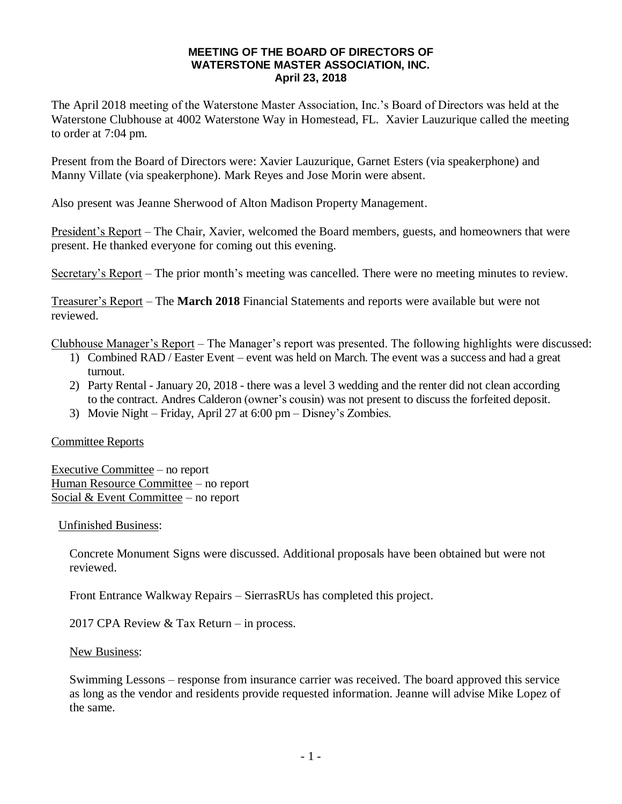## **MEETING OF THE BOARD OF DIRECTORS OF WATERSTONE MASTER ASSOCIATION, INC. April 23, 2018**

The April 2018 meeting of the Waterstone Master Association, Inc.'s Board of Directors was held at the Waterstone Clubhouse at 4002 Waterstone Way in Homestead, FL. Xavier Lauzurique called the meeting to order at 7:04 pm.

Present from the Board of Directors were: Xavier Lauzurique, Garnet Esters (via speakerphone) and Manny Villate (via speakerphone). Mark Reyes and Jose Morin were absent.

Also present was Jeanne Sherwood of Alton Madison Property Management.

President's Report – The Chair, Xavier, welcomed the Board members, guests, and homeowners that were present. He thanked everyone for coming out this evening.

Secretary's Report – The prior month's meeting was cancelled. There were no meeting minutes to review.

Treasurer's Report – The **March 2018** Financial Statements and reports were available but were not reviewed.

Clubhouse Manager's Report – The Manager's report was presented. The following highlights were discussed:

- 1) Combined RAD / Easter Event event was held on March. The event was a success and had a great turnout.
- 2) Party Rental January 20, 2018 there was a level 3 wedding and the renter did not clean according to the contract. Andres Calderon (owner's cousin) was not present to discuss the forfeited deposit.
- 3) Movie Night Friday, April 27 at 6:00 pm Disney's Zombies.

## Committee Reports

Executive Committee – no report Human Resource Committee – no report Social & Event Committee – no report

Unfinished Business:

Concrete Monument Signs were discussed. Additional proposals have been obtained but were not reviewed.

Front Entrance Walkway Repairs – SierrasRUs has completed this project.

2017 CPA Review & Tax Return – in process.

New Business:

Swimming Lessons – response from insurance carrier was received. The board approved this service as long as the vendor and residents provide requested information. Jeanne will advise Mike Lopez of the same.